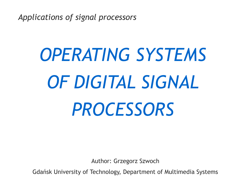*Applications of signal processors*

# *OPERATING SYSTEMS OF DIGITAL SIGNAL PROCESSORS*

Author: Grzegorz Szwoch

Gdańsk University of Technology, Department of Multimedia Systems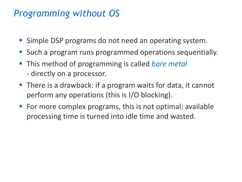## *Programming without OS*

- **E** Simple DSP programs do not need an operating system.
- Such a program runs programmed operations sequentially.
- This method of programming is called *bare metal* - directly on a processor.
- There is a drawback: if a program waits for data, it cannot perform any operations (this is I/O blocking).
- For more complex programs, this is not optimal: available processing time is turned into idle time and wasted.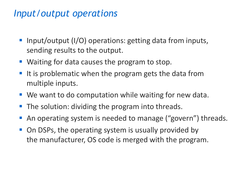## *Input/output operations*

- Input/output (I/O) operations: getting data from inputs, sending results to the output.
- Waiting for data causes the program to stop.
- It is problematic when the program gets the data from multiple inputs.
- We want to do computation while waiting for new data.
- The solution: dividing the program into threads.
- An operating system is needed to manage ("govern") threads.
- On DSPs, the operating system is usually provided by the manufacturer, OS code is merged with the program.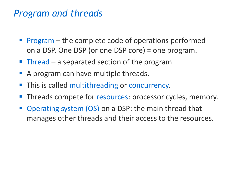## *Program and threads*

- $\blacksquare$  Program the complete code of operations performed on a DSP. One DSP (or one DSP core) = one program.
- **Thread a separated section of the program.**
- A program can have multiple threads.
- This is called multithreading or concurrency*.*
- Threads compete for resources: processor cycles, memory.
- **Operating system (OS) on a DSP: the main thread that** manages other threads and their access to the resources.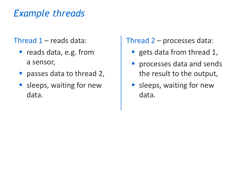# *Example threads*

#### Thread 1 – reads data:

- reads data, e.g. from a sensor,
- **passes data to thread 2,**
- sleeps, waiting for new data.

Thread 2 – processes data:

- gets data from thread 1,
- **•** processes data and sends the result to the output,
- **E** sleeps, waiting for new data.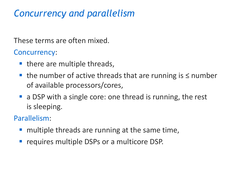# *Concurrency and parallelism*

These terms are often mixed.

Concurrency:

- there are multiple threads,
- the number of active threads that are running is  $\leq$  number of available processors/cores,
- a DSP with a single core: one thread is running, the rest is sleeping.

Parallelism:

- $\blacksquare$  multiple threads are running at the same time,
- **Example 20 Female in the USPs** or a multicore DSP.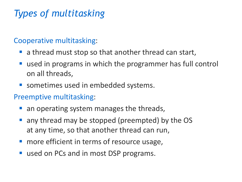# *Types of multitasking*

#### Cooperative multitasking:

- a thread must stop so that another thread can start,
- used in programs in which the programmer has full control on all threads,
- **E** sometimes used in embedded systems.
- Preemptive multitasking:
	- $\blacksquare$  an operating system manages the threads,
	- any thread may be stopped (preempted) by the OS at any time, so that another thread can run,
	- **nable 2** more efficient in terms of resource usage,
	- used on PCs and in most DSP programs.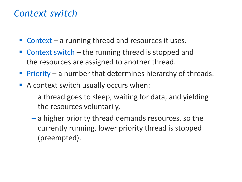## *Context switch*

- $\blacksquare$  Context a running thread and resources it uses.
- $\blacksquare$  Context switch the running thread is stopped and the resources are assigned to another thread.
- $Priority a number that determines hierarchy of threads.$
- A context switch usually occurs when:
	- a thread goes to sleep, waiting for data, and yielding the resources voluntarily,
	- a higher priority thread demands resources, so the currently running, lower priority thread is stopped (preempted).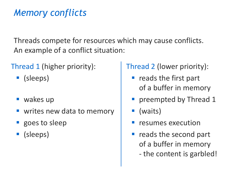# *Memory conflicts*

Threads compete for resources which may cause conflicts. An example of a conflict situation:

Thread 1 (higher priority):

- (sleeps)
- $\blacksquare$  wakes up
- writes new data to memory
- goes to sleep
- (sleeps)

Thread 2 (lower priority):

- $\blacksquare$  reads the first part of a buffer in memory
- **Pedalle** preempted by Thread 1
- (waits)
- resumes execution
- reads the second part of a buffer in memory - the content is garbled!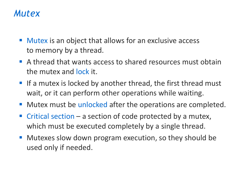## *Mutex*

- Mutex is an object that allows for an exclusive access to memory by a thread.
- A thread that wants access to shared resources must obtain the mutex and lock it.
- **If a mutex is locked by another thread, the first thread must** wait, or it can perform other operations while waiting.
- **E** Mutex must be unlocked after the operations are completed.
- Critical section  $-$  a section of code protected by a mutex, which must be executed completely by a single thread.
- Mutexes slow down program execution, so they should be used only if needed.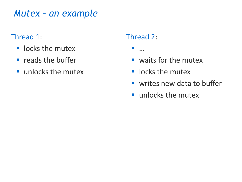## *Mutex – an example*

#### Thread 1:

- locks the mutex
- reads the buffer
- unlocks the mutex

#### Thread 2:

▪ …

- waits for the mutex
- **·** locks the mutex
- writes new data to buffer
- unlocks the mutex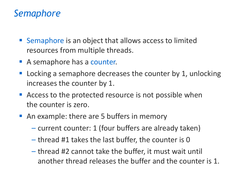## *Semaphore*

- Semaphore is an object that allows access to limited resources from multiple threads.
- A semaphore has a counter.
- Locking a semaphore decreases the counter by 1, unlocking increases the counter by 1.
- **E** Access to the protected resource is not possible when the counter is zero.
- An example: there are 5 buffers in memory
	- current counter: 1 (four buffers are already taken)
	- thread #1 takes the last buffer, the counter is 0
	- thread #2 cannot take the buffer, it must wait until another thread releases the buffer and the counter is 1.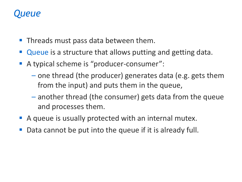## *Queue*

- Threads must pass data between them.
- Queue is a structure that allows putting and getting data.
- A typical scheme is "producer-consumer":
	- one thread (the producer) generates data (e.g. gets them from the input) and puts them in the queue,
	- another thread (the consumer) gets data from the queue and processes them.
- A queue is usually protected with an internal mutex.
- Data cannot be put into the queue if it is already full.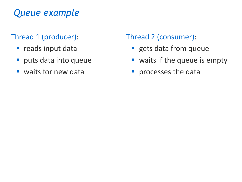# *Queue example*

#### Thread 1 (producer):

- **·** reads input data
- **puts data into queue**
- waits for new data

Thread 2 (consumer):

- **Execute 3 In the Set Starfs**
- waits if the queue is empty
- **P** processes the data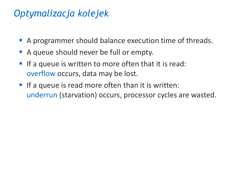# *Optymalizacja kolejek*

- A programmer should balance execution time of threads.
- A queue should never be full or empty.
- If a queue is written to more often that it is read: overflow occurs, data may be lost.
- **If a queue is read more often than it is written:** underrun (starvation) occurs, processor cycles are wasted.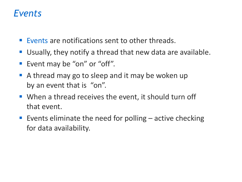## *Events*

- Events are notifications sent to other threads.
- Usually, they notify a thread that new data are available.
- Event may be "on" or "off".
- A thread may go to sleep and it may be woken up by an event that is "on".
- When a thread receives the event, it should turn off that event.
- **Exents eliminate the need for polling active checking** for data availability.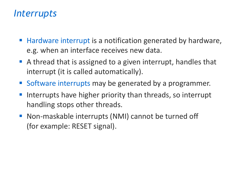## *Interrupts*

- Hardware interrupt is a notification generated by hardware, e.g. when an interface receives new data.
- A thread that is assigned to a given interrupt, handles that interrupt (it is called automatically).
- Software interrupts may be generated by a programmer.
- Interrupts have higher priority than threads, so interrupt handling stops other threads.
- Non-maskable interrupts (NMI) cannot be turned off (for example: RESET signal).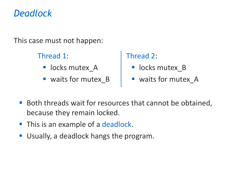## *Deadlock*

This case must not happen:

Thread 1:

- **·** locks mutex A
- waits for mutex **B**

#### Thread 2:

- **·** locks mutex B
- waits for mutex A
- Both threads wait for resources that cannot be obtained, because they remain locked.
- **This is an example of a deadlock.**
- Usually, a deadlock hangs the program.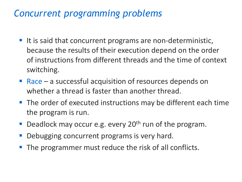## *Concurrent programming problems*

- It is said that concurrent programs are non-deterministic, because the results of their execution depend on the order of instructions from different threads and the time of context switching.
- Race a successful acquisition of resources depends on whether a thread is faster than another thread.
- The order of executed instructions may be different each time the program is run.
- Deadlock may occur e.g. every  $20<sup>th</sup>$  run of the program.
- Debugging concurrent programs is very hard.
- The programmer must reduce the risk of all conflicts.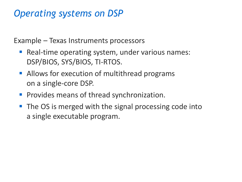## *Operating systems on DSP*

Example – Texas Instruments processors

- Real-time operating system, under various names: DSP/BIOS, SYS/BIOS, TI-RTOS.
- **E** Allows for execution of multithread programs on a single-core DSP.
- **Provides means of thread synchronization.**
- The OS is merged with the signal processing code into a single executable program.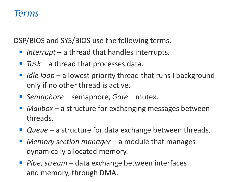#### *Terms*

DSP/BIOS and SYS/BIOS use the following terms.

- *Interrupt* a thread that handles interrupts.
- *Task* a thread that processes data.
- *Idle loop* a lowest priority thread that runs I background only if no other thread is active.
- *Semaphore* semaphore, *Gate* mutex.
- *Mailbox* a structure for exchanging messages between threads.
- *Queue* a structure for data exchange between threads.
- *Memory section manager* a module that manages dynamically allocated memory.
- *Pipe*, *stream* − data exchange between interfaces and memory, through DMA.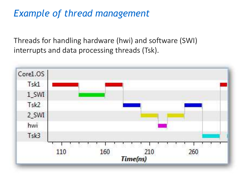# *Example of thread management*

Threads for handling hardware (hwi) and software (SWI) interrupts and data processing threads (Tsk).

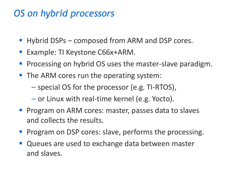## *OS on hybrid processors*

- Hybrid DSPs composed from ARM and DSP cores.
- Example: TI Keystone C66x+ARM.
- Processing on hybrid OS uses the master-slave paradigm.
- The ARM cores run the operating system:
	- special OS for the processor (e.g. TI-RTOS),
	- or Linux with real-time kernel (e.g. Yocto).
- **Program on ARM cores: master, passes data to slaves** and collects the results.
- Program on DSP cores: slave, performs the processing.
- Queues are used to exchange data between master and slaves.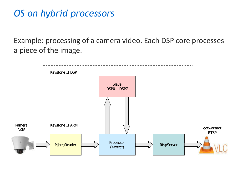# *OS on hybrid processors*

Example: processing of a camera video. Each DSP core processes a piece of the image.

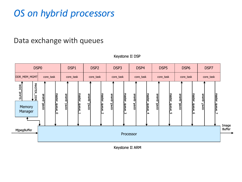# *OS on hybrid processors*

#### Data exchange with queues



Keystone II DSP

Keystone II ARM